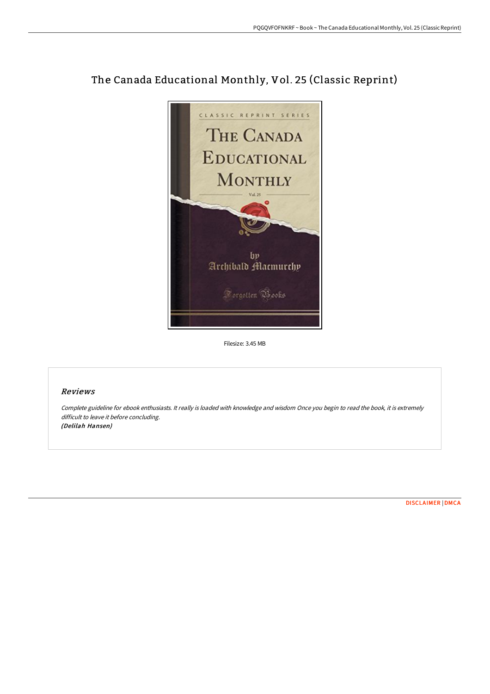

## The Canada Educational Monthly, Vol. 25 (Classic Reprint)

Filesize: 3.45 MB

## Reviews

Complete guideline for ebook enthusiasts. It really is loaded with knowledge and wisdom Once you begin to read the book, it is extremely difficult to leave it before concluding. (Delilah Hansen)

[DISCLAIMER](http://albedo.media/disclaimer.html) | [DMCA](http://albedo.media/dmca.html)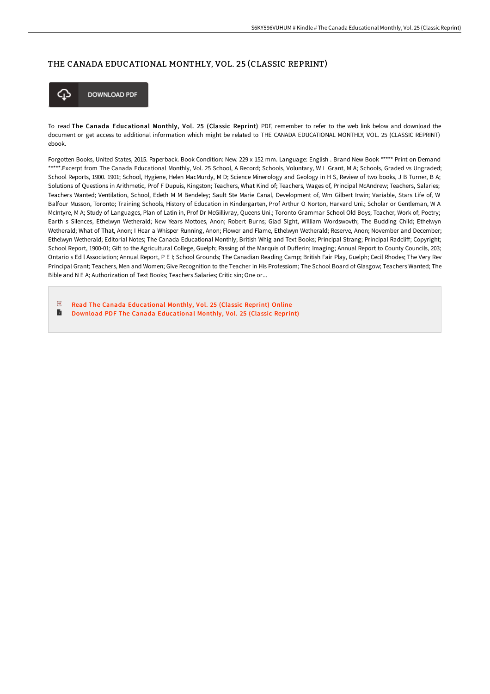## THE CANADA EDUCATIONAL MONTHLY, VOL. 25 (CLASSIC REPRINT)



To read The Canada Educational Monthly, Vol. 25 (Classic Reprint) PDF, remember to refer to the web link below and download the document or get access to additional information which might be related to THE CANADA EDUCATIONAL MONTHLY, VOL. 25 (CLASSIC REPRINT) ebook.

Forgotten Books, United States, 2015. Paperback. Book Condition: New. 229 x 152 mm. Language: English . Brand New Book \*\*\*\*\* Print on Demand \*\*\*\*\*.Excerpt from The Canada Educational Monthly, Vol. 25 School, A Record; Schools, Voluntary, W L Grant, M A; Schools, Graded vs Ungraded; School Reports, 1900. 1901; School, Hygiene, Helen MacMurdy, M D; Science Minerology and Geology in H S, Review of two books, J B Turner, B A; Solutions of Questions in Arithmetic, Prof F Dupuis, Kingston; Teachers, What Kind of; Teachers, Wages of, Principal McAndrew; Teachers, Salaries; Teachers Wanted; Ventilation, School, Edeth M M Bendeley; Sault Ste Marie Canal, Development of, Wm Gilbert Irwin; Variable, Stars Life of, W Balfour Musson, Toronto; Training Schools, History of Education in Kindergarten, Prof Arthur O Norton, Harvard Uni.; Scholar or Gentleman, W A McIntyre, M A; Study of Languages, Plan of Latin in, Prof Dr McGillivray, Queens Uni.; Toronto Grammar School Old Boys; Teacher, Work of; Poetry; Earth s Silences, Ethelwyn Wetherald; New Years Mottoes, Anon; Robert Burns; Glad Sight, William Wordswovth; The Budding Child; Ethelwyn Wetherald; What of That, Anon; I Hear a Whisper Running, Anon; Flower and Flame, Ethelwyn Wetherald; Reserve, Anon; November and December; Ethelwyn Wetherald; Editorial Notes; The Canada Educational Monthly; British Whig and Text Books; Principal Strang; Principal Radcliff; Copyright; School Report, 1900-01; Gift to the Agricultural College, Guelph; Passing of the Marquis of Dufferin; Imaging; Annual Report to County Councils, 203; Ontario s Ed l Association; Annual Report, P E I; School Grounds; The Canadian Reading Camp; British Fair Play, Guelph; Cecil Rhodes; The Very Rev Principal Grant; Teachers, Men and Women; Give Recognition to the Teacher in His Professiom; The School Board of Glasgow; Teachers Wanted; The Bible and N E A; Authorization of Text Books; Teachers Salaries; Critic sin; One or...

 $\overline{\mathrm{pos}}$ Read The Canada [Educational](http://albedo.media/the-canada-educational-monthly-vol-25-classic-re.html) Monthly, Vol. 25 (Classic Reprint) Online

 $\blacksquare$ Download PDF The Canada [Educational](http://albedo.media/the-canada-educational-monthly-vol-25-classic-re.html) Monthly, Vol. 25 (Classic Reprint)